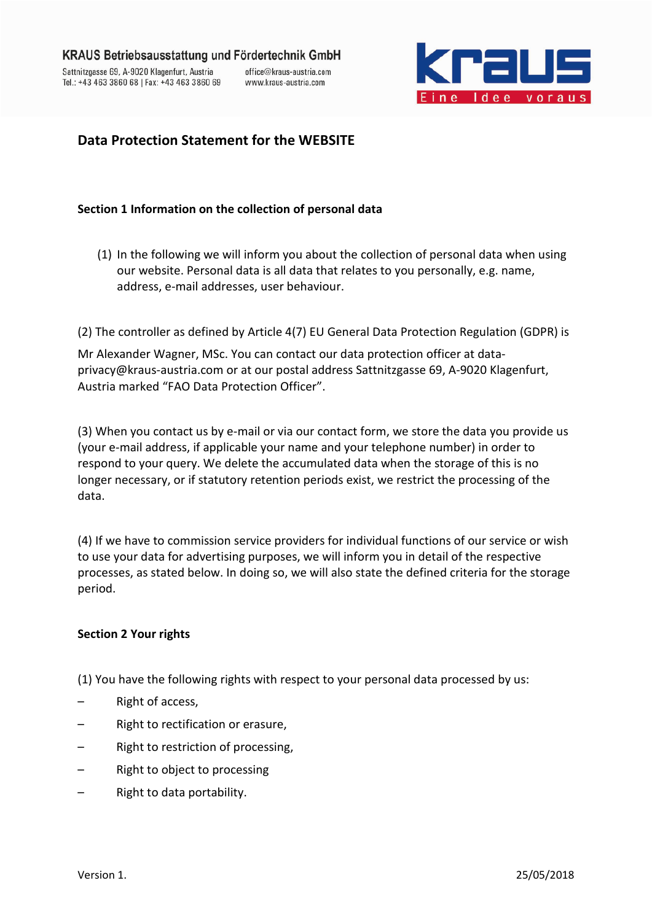

# **Data Protection Statement for the WEBSITE**

### **Section 1 Information on the collection of personal data**

(1) In the following we will inform you about the collection of personal data when using our website. Personal data is all data that relates to you personally, e.g. name, address, e-mail addresses, user behaviour.

(2) The controller as defined by Article 4(7) EU General Data Protection Regulation (GDPR) is

Mr Alexander Wagner, MSc. You can contact our data protection officer at dataprivacy@kraus-austria.com or at our postal address Sattnitzgasse 69, A-9020 Klagenfurt, Austria marked "FAO Data Protection Officer".

(3) When you contact us by e-mail or via our contact form, we store the data you provide us (your e-mail address, if applicable your name and your telephone number) in order to respond to your query. We delete the accumulated data when the storage of this is no longer necessary, or if statutory retention periods exist, we restrict the processing of the data.

(4) If we have to commission service providers for individual functions of our service or wish to use your data for advertising purposes, we will inform you in detail of the respective processes, as stated below. In doing so, we will also state the defined criteria for the storage period.

### **Section 2 Your rights**

(1) You have the following rights with respect to your personal data processed by us:

- Right of access,
- Right to rectification or erasure,
- Right to restriction of processing,
- Right to object to processing
- Right to data portability.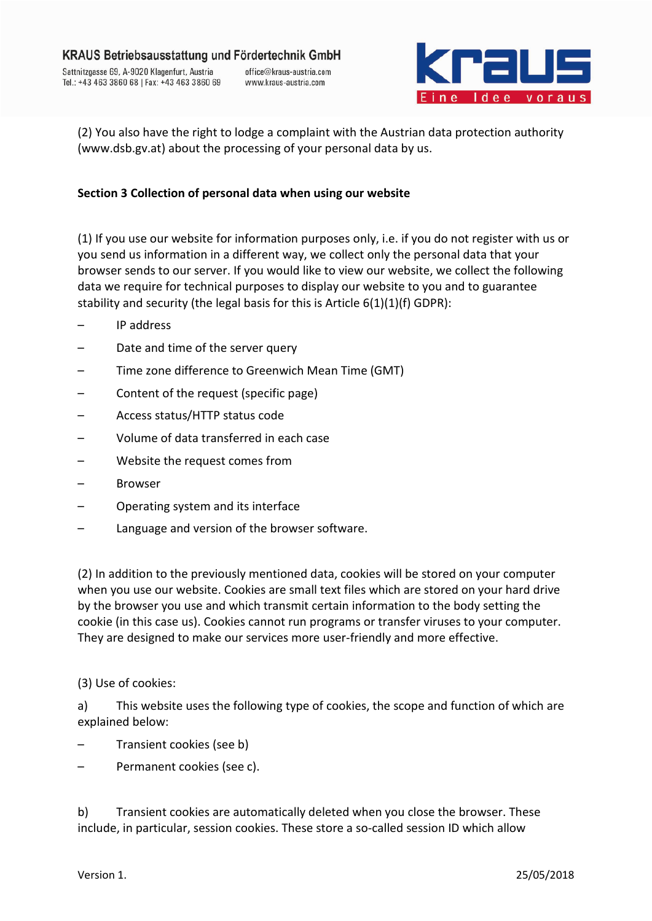

(2) You also have the right to lodge a complaint with the Austrian data protection authority (www.dsb.gv.at) about the processing of your personal data by us.

## **Section 3 Collection of personal data when using our website**

(1) If you use our website for information purposes only, i.e. if you do not register with us or you send us information in a different way, we collect only the personal data that your browser sends to our server. If you would like to view our website, we collect the following data we require for technical purposes to display our website to you and to guarantee stability and security (the legal basis for this is Article  $6(1)(1)(f)$  GDPR):

- IP address
- Date and time of the server query
- Time zone difference to Greenwich Mean Time (GMT)
- Content of the request (specific page)
- Access status/HTTP status code
- Volume of data transferred in each case
- Website the request comes from
- **Browser**
- Operating system and its interface
- Language and version of the browser software.

(2) In addition to the previously mentioned data, cookies will be stored on your computer when you use our website. Cookies are small text files which are stored on your hard drive by the browser you use and which transmit certain information to the body setting the cookie (in this case us). Cookies cannot run programs or transfer viruses to your computer. They are designed to make our services more user-friendly and more effective.

#### (3) Use of cookies:

a) This website uses the following type of cookies, the scope and function of which are explained below:

- Transient cookies (see b)
- Permanent cookies (see c).

b) Transient cookies are automatically deleted when you close the browser. These include, in particular, session cookies. These store a so-called session ID which allow